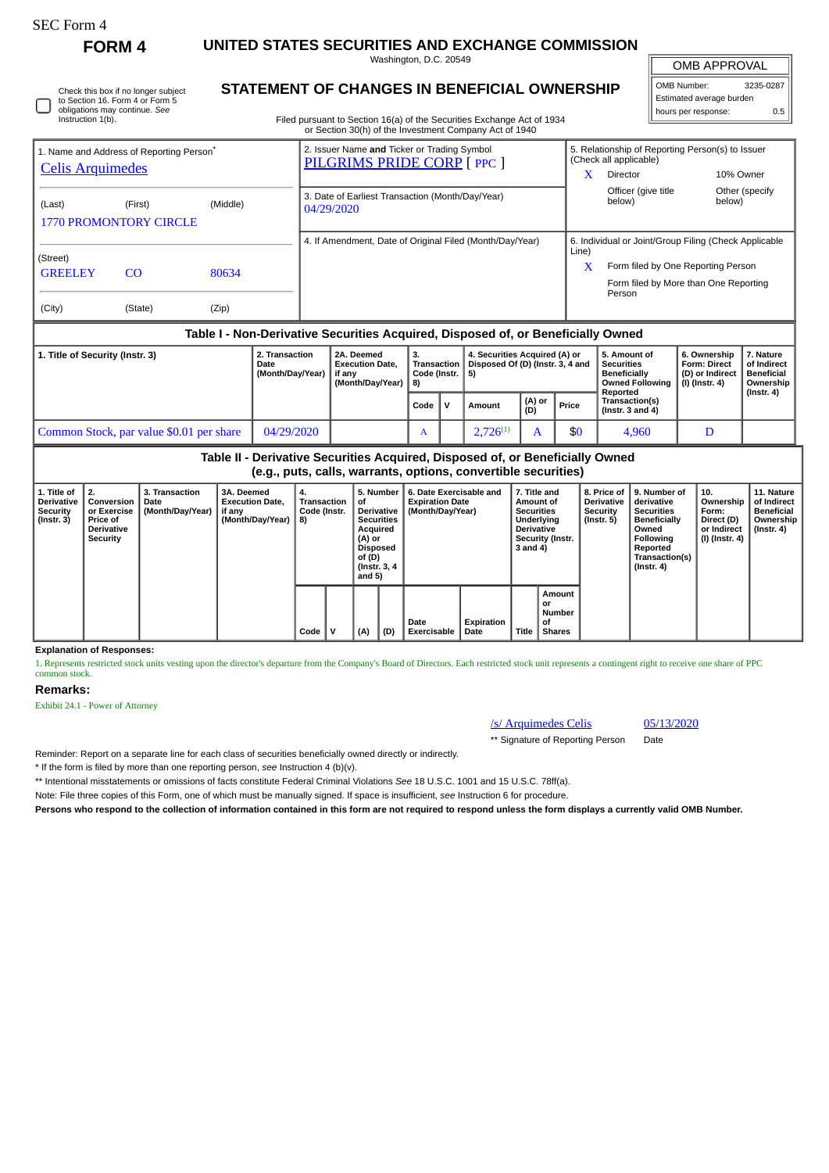| <b>FOLM</b> |
|-------------|
|-------------|

Instruction 1(b).

Check this box if no longer subject to Section 16. Form 4 or Form 5 obligations may continue. *See*

**FORM 4 UNITED STATES SECURITIES AND EXCHANGE COMMISSION** Washington, D.C. 20549

OMB APPROVAL

 $\sqrt{ }$ 

|                          | OMB Number:         | 3235-0287 |  |  |  |  |  |  |  |
|--------------------------|---------------------|-----------|--|--|--|--|--|--|--|
| Estimated average burden |                     |           |  |  |  |  |  |  |  |
|                          | hours per response: | 0 5       |  |  |  |  |  |  |  |

**STATEMENT OF CHANGES IN BENEFICIAL OWNERSHIP**

Filed pursuant to Section 16(a) of the Securities Exchange Act of 1934 or Section 30(h) of the Investment Company Act of 1940

| 1. Name and Address of Reporting Person <sup>®</sup>                             |         |       | 2. Issuer Name and Ticker or Trading Symbol<br>PILGRIMS PRIDE CORP [ PPC ] |            | 5. Relationship of Reporting Person(s) to Issuer<br>(Check all applicable) |                          |  |  |  |  |  |
|----------------------------------------------------------------------------------|---------|-------|----------------------------------------------------------------------------|------------|----------------------------------------------------------------------------|--------------------------|--|--|--|--|--|
| <b>Celis Arquimedes</b>                                                          |         |       |                                                                            | x          | <b>Director</b>                                                            | 10% Owner                |  |  |  |  |  |
| (Middle)<br>(Last)<br>(First)<br><b>1770 PROMONTORY CIRCLE</b>                   |         |       | 3. Date of Earliest Transaction (Month/Day/Year)<br>04/29/2020             |            | Officer (give title<br>below)                                              | Other (specify<br>below) |  |  |  |  |  |
|                                                                                  |         |       | 4. If Amendment, Date of Original Filed (Month/Day/Year)                   |            | 6. Individual or Joint/Group Filing (Check Applicable                      |                          |  |  |  |  |  |
| (Street)                                                                         |         |       |                                                                            | Line)<br>X | Form filed by One Reporting Person                                         |                          |  |  |  |  |  |
| <b>GREELEY</b>                                                                   | CO.     | 80634 |                                                                            |            | Form filed by More than One Reporting                                      |                          |  |  |  |  |  |
|                                                                                  |         |       |                                                                            |            | Person                                                                     |                          |  |  |  |  |  |
| (City)                                                                           | (State) | (Zip) |                                                                            |            |                                                                            |                          |  |  |  |  |  |
| Table I - Non-Derivative Securities Acquired, Disposed of, or Beneficially Owned |         |       |                                                                            |            |                                                                            |                          |  |  |  |  |  |

| 1. Title of Security (Instr. 3)          | 2. Transaction<br>Date<br>(Month/Day/Year) | 2A. Deemed<br><b>Execution Date.</b><br>if anv<br>(Month/Dav/Year) | Code (Instr.   5)<br>l 8) |  | 4. Securities Acquired (A) or<br>Transaction   Disposed Of (D) (Instr. 3, 4 and |                       |       | 5. Amount of<br><b>Securities</b><br><b>Beneficially</b><br>Owned Following   (I) (Instr. 4)<br>Reported | 6. Ownership<br><b>Form: Direct</b><br>(D) or Indirect | . Nature<br>of Indirect<br><b>Beneficial</b><br>Ownership<br>$($ Instr. 4 $)$ |
|------------------------------------------|--------------------------------------------|--------------------------------------------------------------------|---------------------------|--|---------------------------------------------------------------------------------|-----------------------|-------|----------------------------------------------------------------------------------------------------------|--------------------------------------------------------|-------------------------------------------------------------------------------|
|                                          |                                            |                                                                    | Code $\mathsf{V}$         |  | Amount                                                                          | $($ (A) or $($<br>(D) | Price | Transaction(s)<br>(Instr. $3$ and $4$ )                                                                  |                                                        |                                                                               |
| Common Stock, par value \$0.01 per share | 04/29/2020                                 |                                                                    | A                         |  | $2.726^{(1)}$                                                                   |                       | \$0   | 4.960                                                                                                    |                                                        |                                                                               |

**Table II - Derivative Securities Acquired, Disposed of, or Beneficially Owned (e.g., puts, calls, warrants, options, convertible securities)**

| 1. Title of<br><b>Derivative</b><br><b>Security</b><br>$($ Instr. 3 $)$ | 2.<br>Conversion<br>or Exercise<br>Price of<br><b>Derivative</b><br>Security | <b>3. Transaction</b><br>Date<br>(Month/Day/Year) | <b>3A. Deemed</b><br><b>Execution Date,</b><br>if any<br>(Month/Day/Year) | 4.<br>Code (Instr.<br>8) | Transaction<br>of.<br>(A) or<br>of (D)<br>and 5) |            | 5. Number<br>Derivative<br><b>Securities</b><br>Acquired<br>Disposed<br>(Instr. 3, 4) | 6. Date Exercisable and<br><b>Expiration Date</b><br>(Month/Day/Year) |                    | 7. Title and<br>Amount of<br><b>Securities</b><br>Underlying<br><b>Derivative</b><br><b>Security (Instr.</b><br>3 and 4) |                                               | 8. Price of  <br><b>Derivative</b><br><b>Security</b><br>$($ Instr. 5 $)$ | 9. Number of<br>derivative<br><b>Securities</b><br><b>Beneficially</b><br>Owned<br>Following<br>Reported<br>Transaction(s)<br>$($ Instr. 4 $)$ | 10.<br>Ownership<br>Form:<br>Direct (D)<br>or Indirect<br>  (I) (Instr. 4) | 11. Nature<br>of Indirect<br><b>Beneficial</b><br>Ownership<br>(Instr. 4) |
|-------------------------------------------------------------------------|------------------------------------------------------------------------------|---------------------------------------------------|---------------------------------------------------------------------------|--------------------------|--------------------------------------------------|------------|---------------------------------------------------------------------------------------|-----------------------------------------------------------------------|--------------------|--------------------------------------------------------------------------------------------------------------------------|-----------------------------------------------|---------------------------------------------------------------------------|------------------------------------------------------------------------------------------------------------------------------------------------|----------------------------------------------------------------------------|---------------------------------------------------------------------------|
|                                                                         |                                                                              |                                                   |                                                                           | Code                     |                                                  | (A)<br>(D) |                                                                                       | Date<br><b>Exercisable</b>                                            | Expiration<br>Date | Title                                                                                                                    | Amount<br>or<br>Number<br>οf<br><b>Shares</b> |                                                                           |                                                                                                                                                |                                                                            |                                                                           |

**Explanation of Responses:**

1. Represents restricted stock units vesting upon the director's departure from the Company's Board of Directors. Each restricted stock unit represents a contingent right to receive one share of PPC common stock.

## **Remarks:**

Exhibit 24.1 - Power of Attorney

## /s/ Arquimedes Celis 05/13/2020

\*\* Signature of Reporting Person Date

Reminder: Report on a separate line for each class of securities beneficially owned directly or indirectly.

\* If the form is filed by more than one reporting person, *see* Instruction 4 (b)(v).

\*\* Intentional misstatements or omissions of facts constitute Federal Criminal Violations *See* 18 U.S.C. 1001 and 15 U.S.C. 78ff(a).

Note: File three copies of this Form, one of which must be manually signed. If space is insufficient, *see* Instruction 6 for procedure.

**Persons who respond to the collection of information contained in this form are not required to respond unless the form displays a currently valid OMB Number.**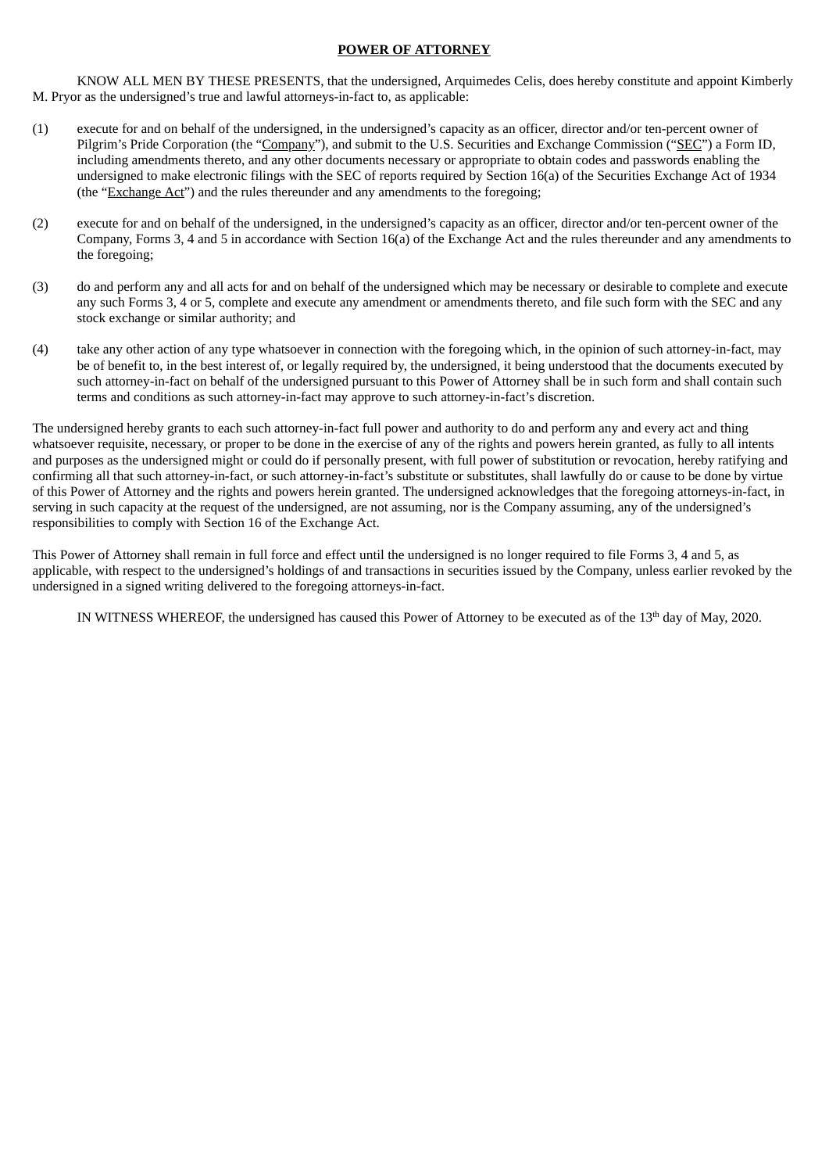## **POWER OF ATTORNEY**

KNOW ALL MEN BY THESE PRESENTS, that the undersigned, Arquimedes Celis, does hereby constitute and appoint Kimberly M. Pryor as the undersigned's true and lawful attorneys-in-fact to, as applicable:

- (1) execute for and on behalf of the undersigned, in the undersigned's capacity as an officer, director and/or ten-percent owner of Pilgrim's Pride Corporation (the "Company"), and submit to the U.S. Securities and Exchange Commission ("SEC") a Form ID, including amendments thereto, and any other documents necessary or appropriate to obtain codes and passwords enabling the undersigned to make electronic filings with the SEC of reports required by Section 16(a) of the Securities Exchange Act of 1934 (the "Exchange Act") and the rules thereunder and any amendments to the foregoing;
- (2) execute for and on behalf of the undersigned, in the undersigned's capacity as an officer, director and/or ten-percent owner of the Company, Forms 3, 4 and 5 in accordance with Section 16(a) of the Exchange Act and the rules thereunder and any amendments to the foregoing;
- (3) do and perform any and all acts for and on behalf of the undersigned which may be necessary or desirable to complete and execute any such Forms 3, 4 or 5, complete and execute any amendment or amendments thereto, and file such form with the SEC and any stock exchange or similar authority; and
- (4) take any other action of any type whatsoever in connection with the foregoing which, in the opinion of such attorney-in-fact, may be of benefit to, in the best interest of, or legally required by, the undersigned, it being understood that the documents executed by such attorney-in-fact on behalf of the undersigned pursuant to this Power of Attorney shall be in such form and shall contain such terms and conditions as such attorney-in-fact may approve to such attorney-in-fact's discretion.

The undersigned hereby grants to each such attorney-in-fact full power and authority to do and perform any and every act and thing whatsoever requisite, necessary, or proper to be done in the exercise of any of the rights and powers herein granted, as fully to all intents and purposes as the undersigned might or could do if personally present, with full power of substitution or revocation, hereby ratifying and confirming all that such attorney-in-fact, or such attorney-in-fact's substitute or substitutes, shall lawfully do or cause to be done by virtue of this Power of Attorney and the rights and powers herein granted. The undersigned acknowledges that the foregoing attorneys-in-fact, in serving in such capacity at the request of the undersigned, are not assuming, nor is the Company assuming, any of the undersigned's responsibilities to comply with Section 16 of the Exchange Act.

This Power of Attorney shall remain in full force and effect until the undersigned is no longer required to file Forms 3, 4 and 5, as applicable, with respect to the undersigned's holdings of and transactions in securities issued by the Company, unless earlier revoked by the undersigned in a signed writing delivered to the foregoing attorneys-in-fact.

IN WITNESS WHEREOF, the undersigned has caused this Power of Attorney to be executed as of the  $13<sup>th</sup>$  day of May, 2020.